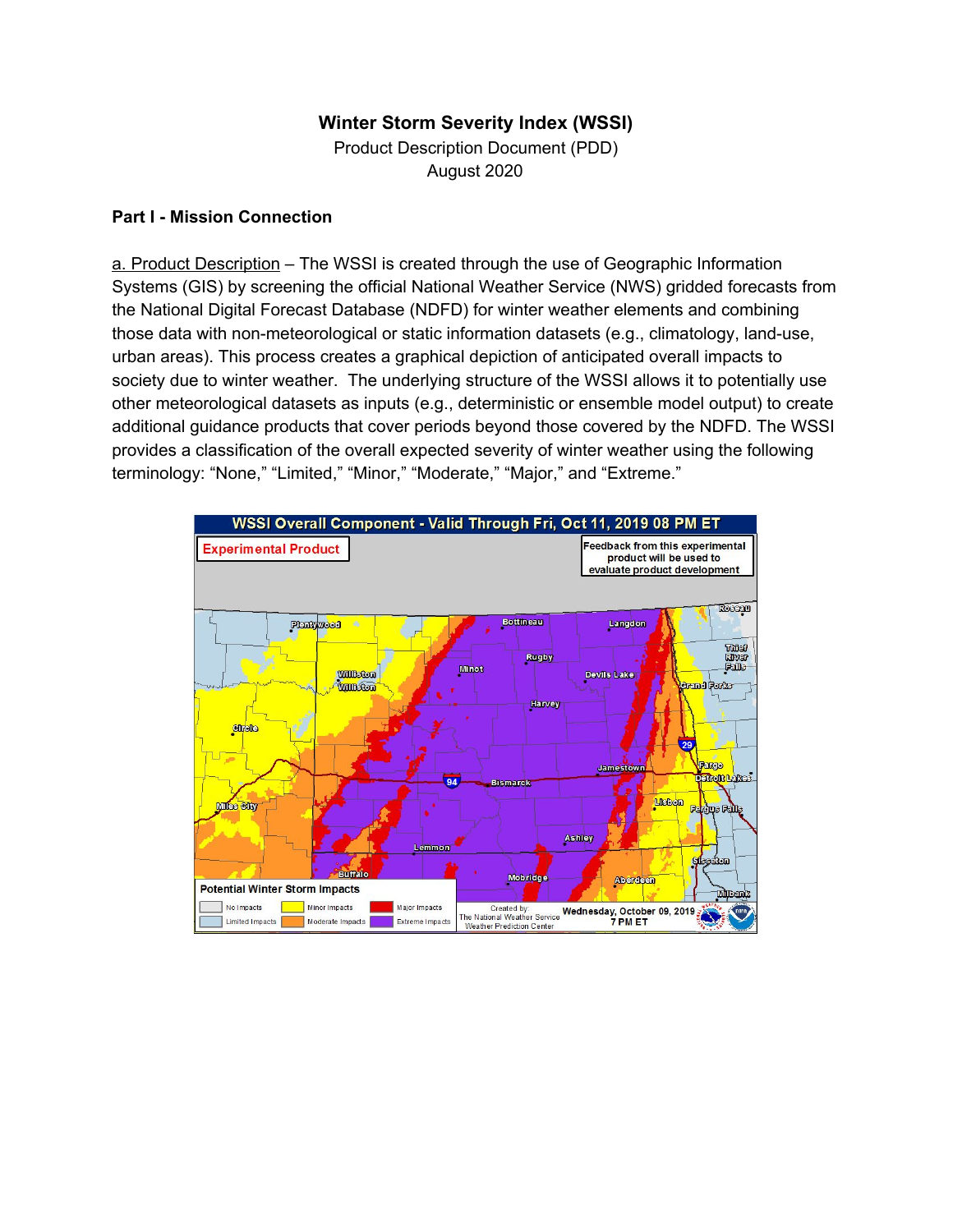# **Winter Storm Severity Index (WSSI)**

Product Description Document (PDD) August 2020

### **Part I - Mission Connection**

a. Product Description – The WSSI is created through the use of Geographic Information Systems (GIS) by screening the official National Weather Service (NWS) gridded forecasts from the National Digital Forecast Database (NDFD) for winter weather elements and combining those data with non-meteorological or static information datasets (e.g., climatology, land-use, urban areas). This process creates a graphical depiction of anticipated overall impacts to society due to winter weather. The underlying structure of the WSSI allows it to potentially use other meteorological datasets as inputs (e.g., deterministic or ensemble model output) to create additional guidance products that cover periods beyond those covered by the NDFD. The WSSI provides a classification of the overall expected severity of winter weather using the following terminology: "None," "Limited," "Minor," "Moderate," "Major," and "Extreme."

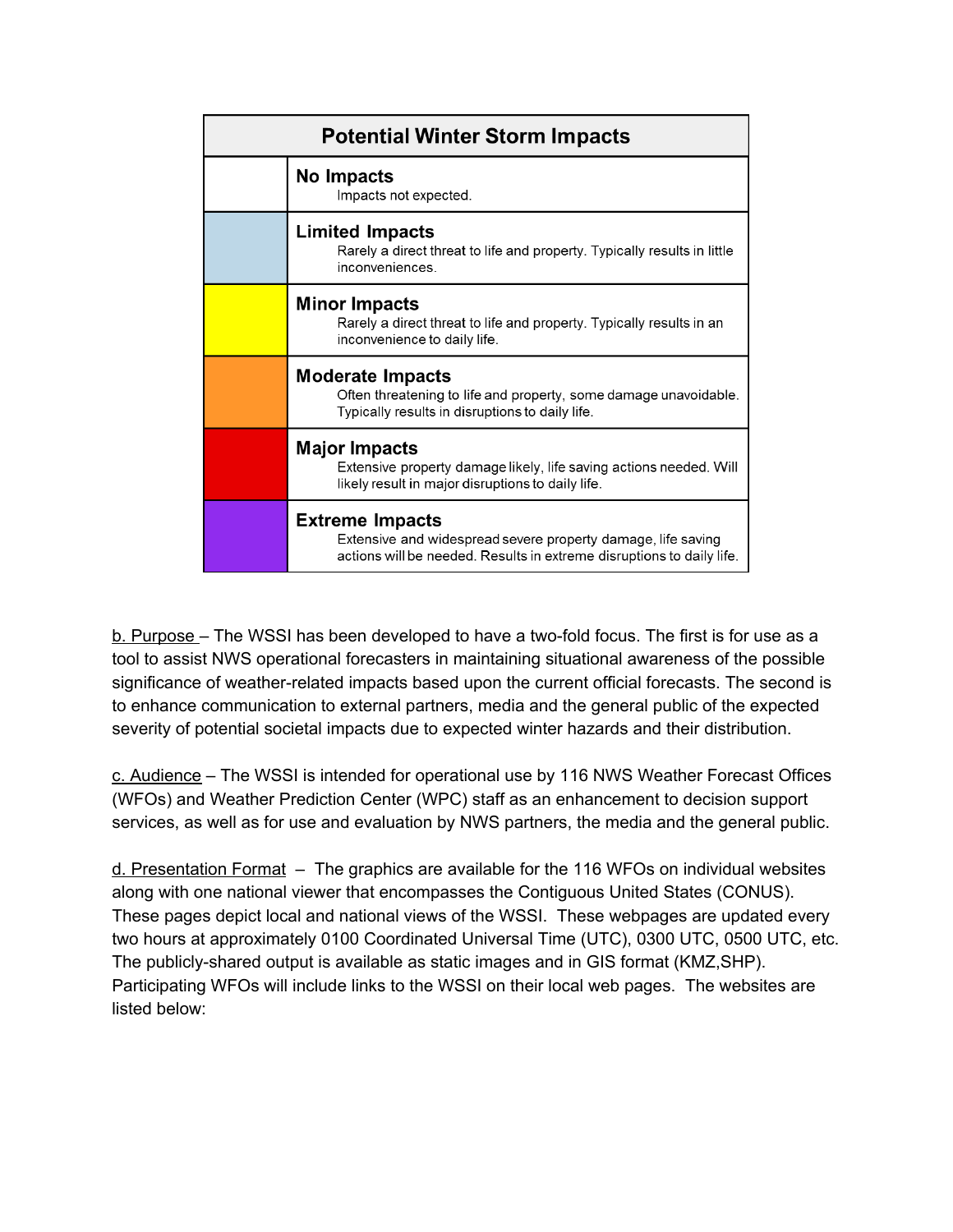| <b>Potential Winter Storm Impacts</b> |                                                                                                                                                                 |
|---------------------------------------|-----------------------------------------------------------------------------------------------------------------------------------------------------------------|
|                                       | No Impacts<br>Impacts not expected.                                                                                                                             |
|                                       | <b>Limited Impacts</b><br>Rarely a direct threat to life and property. Typically results in little<br>inconveniences.                                           |
|                                       | Minor Impacts<br>Rarely a direct threat to life and property. Typically results in an<br>inconvenience to daily life.                                           |
|                                       | <b>Moderate Impacts</b><br>Often threatening to life and property, some damage unavoidable.<br>Typically results in disruptions to daily life.                  |
|                                       | Major Impacts<br>Extensive property damage likely, life saving actions needed. Will<br>likely result in major disruptions to daily life.                        |
|                                       | <b>Extreme Impacts</b><br>Extensive and widespread severe property damage, life saving<br>actions will be needed. Results in extreme disruptions to daily life. |

b. Purpose – The WSSI has been developed to have a two-fold focus. The first is for use as a tool to assist NWS operational forecasters in maintaining situational awareness of the possible significance of weather-related impacts based upon the current official forecasts. The second is to enhance communication to external partners, media and the general public of the expected severity of potential societal impacts due to expected winter hazards and their distribution.

c. Audience – The WSSI is intended for operational use by 116 NWS Weather Forecast Offices (WFOs) and Weather Prediction Center (WPC) staff as an enhancement to decision support services, as well as for use and evaluation by NWS partners, the media and the general public.

d. Presentation Format – The graphics are available for the 116 WFOs on individual websites along with one national viewer that encompasses the Contiguous United States (CONUS). These pages depict local and national views of the WSSI. These webpages are updated every two hours at approximately 0100 Coordinated Universal Time (UTC), 0300 UTC, 0500 UTC, etc. The publicly-shared output is available as static images and in GIS format (KMZ,SHP). Participating WFOs will include links to the WSSI on their local web pages. The websites are listed below: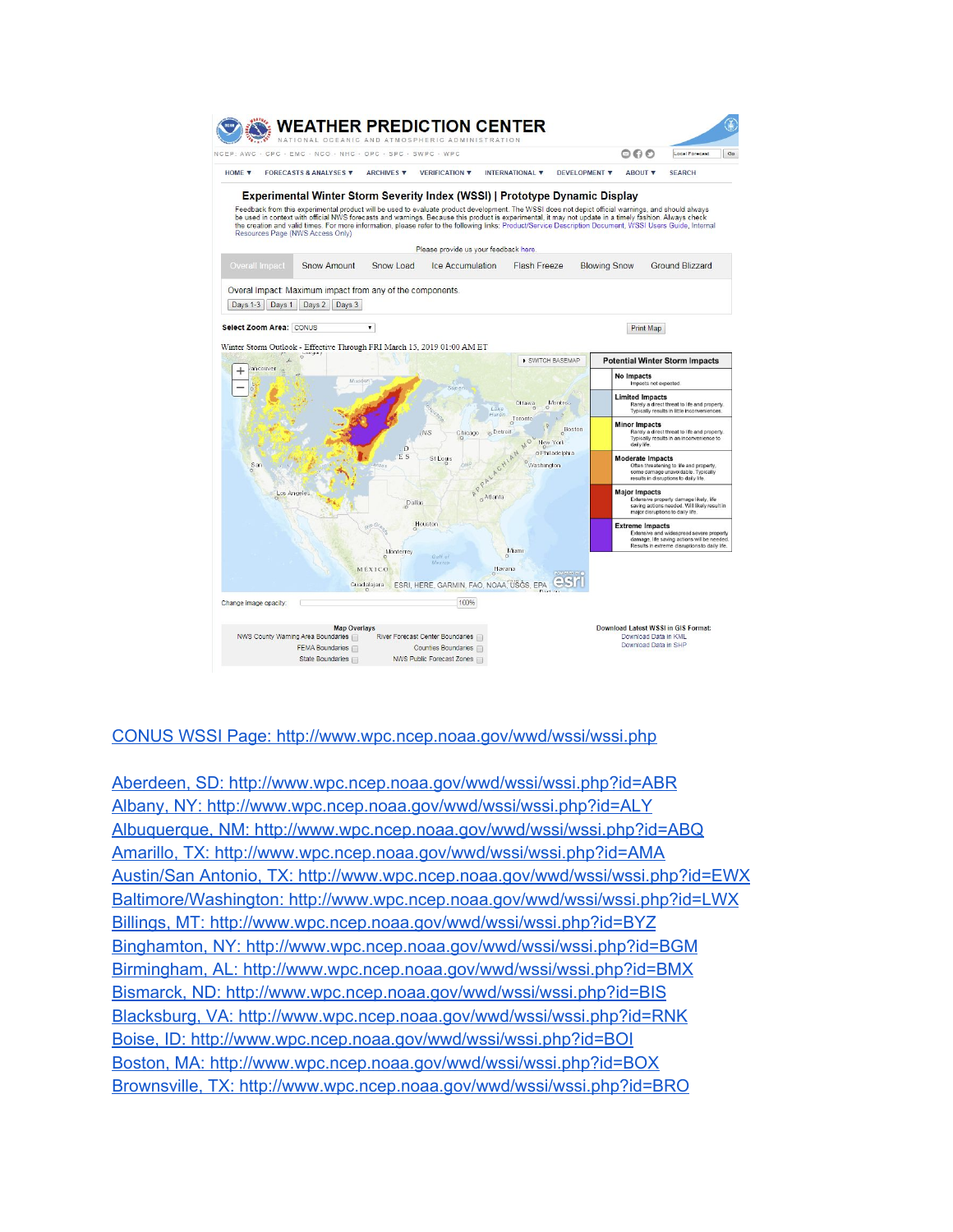

#### CONUS WSSI Page: <http://www.wpc.ncep.noaa.gov/wwd/wssi/wssi.php>

Aberdeen, SD: <http://www.wpc.ncep.noaa.gov/wwd/wssi/wssi.php?id=ABR> Albany, NY: <http://www.wpc.ncep.noaa.gov/wwd/wssi/wssi.php?id=ALY> Albuquerque, NM: <http://www.wpc.ncep.noaa.gov/wwd/wssi/wssi.php?id=ABQ> Amarillo, TX: <http://www.wpc.ncep.noaa.gov/wwd/wssi/wssi.php?id=AMA> Austin/San Antonio, TX: <http://www.wpc.ncep.noaa.gov/wwd/wssi/wssi.php?id=EWX> Baltimore/Washington: <http://www.wpc.ncep.noaa.gov/wwd/wssi/wssi.php?id=LWX> Billings, MT: <http://www.wpc.ncep.noaa.gov/wwd/wssi/wssi.php?id=BYZ> Binghamton, NY: [http://www.wpc.ncep.noaa.gov/wwd/wssi/wssi.php?id=BGM](http://www.wpc.ncep.noaa.gov/wwd/wssi/wssi.php?id=BMG) Birmingham, AL: <http://www.wpc.ncep.noaa.gov/wwd/wssi/wssi.php?id=BMX> Bismarck, ND: <http://www.wpc.ncep.noaa.gov/wwd/wssi/wssi.php?id=BIS> Blacksburg, VA: <http://www.wpc.ncep.noaa.gov/wwd/wssi/wssi.php?id=RNK> Boise, ID: <http://www.wpc.ncep.noaa.gov/wwd/wssi/wssi.php?id=BOI> Boston, MA: <http://www.wpc.ncep.noaa.gov/wwd/wssi/wssi.php?id=BOX> Brownsville, TX: <http://www.wpc.ncep.noaa.gov/wwd/wssi/wssi.php?id=BRO>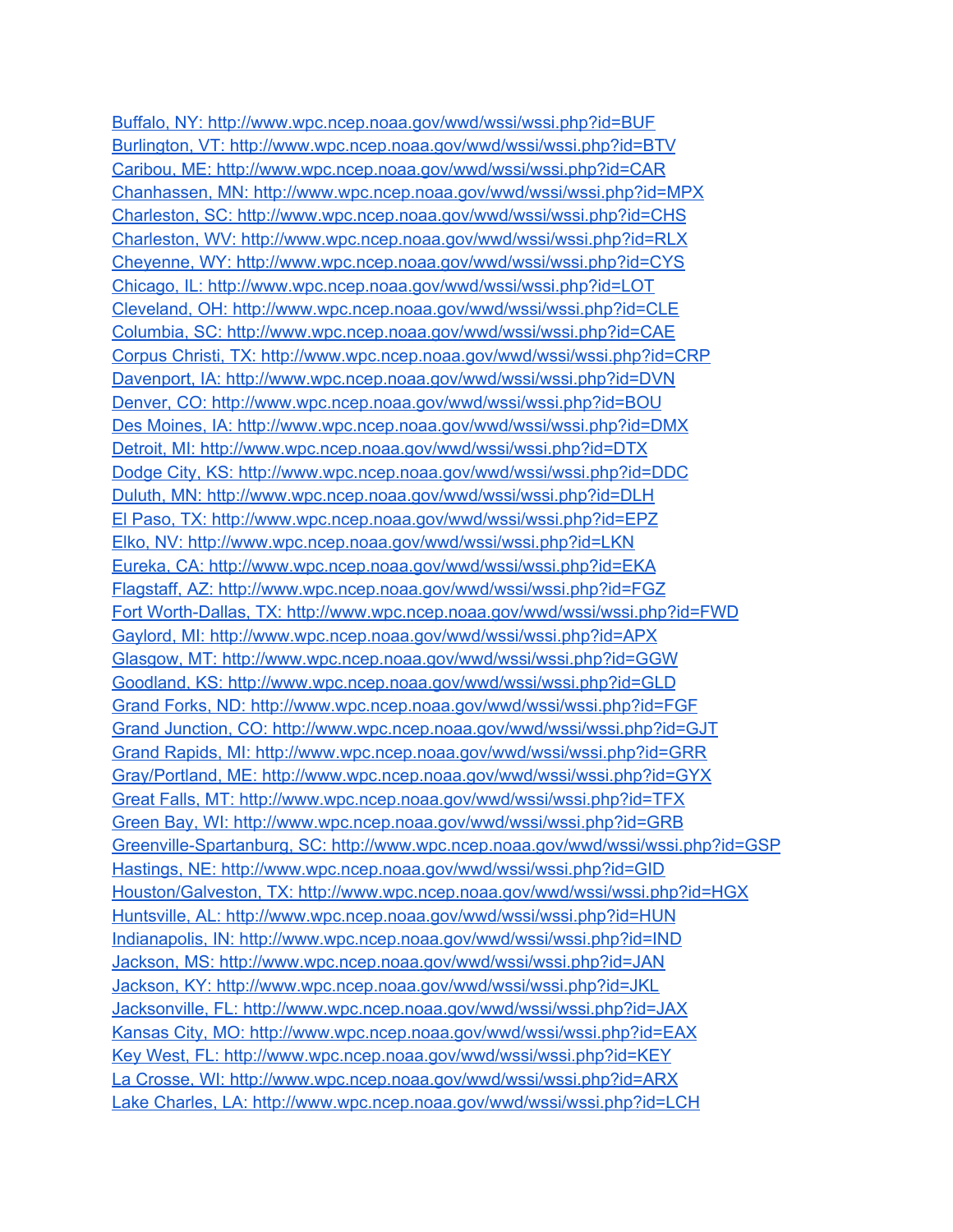Buffalo, NY: <http://www.wpc.ncep.noaa.gov/wwd/wssi/wssi.php?id=BUF> Burlington, VT: <http://www.wpc.ncep.noaa.gov/wwd/wssi/wssi.php?id=BTV> Caribou, ME: <http://www.wpc.ncep.noaa.gov/wwd/wssi/wssi.php?id=CAR> Chanhassen, MN: <http://www.wpc.ncep.noaa.gov/wwd/wssi/wssi.php?id=MPX> Charleston, SC: <http://www.wpc.ncep.noaa.gov/wwd/wssi/wssi.php?id=CHS> Charleston, WV: <http://www.wpc.ncep.noaa.gov/wwd/wssi/wssi.php?id=RLX> Cheyenne, WY: <http://www.wpc.ncep.noaa.gov/wwd/wssi/wssi.php?id=CYS> Chicago, IL: <http://www.wpc.ncep.noaa.gov/wwd/wssi/wssi.php?id=LOT> Cleveland, OH: <http://www.wpc.ncep.noaa.gov/wwd/wssi/wssi.php?id=CLE> Columbia, SC: <http://www.wpc.ncep.noaa.gov/wwd/wssi/wssi.php?id=CAE> Corpus Christi, TX: <http://www.wpc.ncep.noaa.gov/wwd/wssi/wssi.php?id=CRP> Davenport, IA: <http://www.wpc.ncep.noaa.gov/wwd/wssi/wssi.php?id=DVN> Denver, CO: <http://www.wpc.ncep.noaa.gov/wwd/wssi/wssi.php?id=BOU> Des Moines, IA: <http://www.wpc.ncep.noaa.gov/wwd/wssi/wssi.php?id=DMX> Detroit, MI: <http://www.wpc.ncep.noaa.gov/wwd/wssi/wssi.php?id=DTX> Dodge City, KS: <http://www.wpc.ncep.noaa.gov/wwd/wssi/wssi.php?id=DDC> Duluth, MN: <http://www.wpc.ncep.noaa.gov/wwd/wssi/wssi.php?id=DLH> El Paso, TX: <http://www.wpc.ncep.noaa.gov/wwd/wssi/wssi.php?id=EPZ> Elko, NV: <http://www.wpc.ncep.noaa.gov/wwd/wssi/wssi.php?id=LKN> Eureka, CA: <http://www.wpc.ncep.noaa.gov/wwd/wssi/wssi.php?id=EKA> Flagstaff, AZ: <http://www.wpc.ncep.noaa.gov/wwd/wssi/wssi.php?id=FGZ> Fort Worth-Dallas, TX: <http://www.wpc.ncep.noaa.gov/wwd/wssi/wssi.php?id=FWD> Gaylord, MI: <http://www.wpc.ncep.noaa.gov/wwd/wssi/wssi.php?id=APX> Glasgow, MT: <http://www.wpc.ncep.noaa.gov/wwd/wssi/wssi.php?id=GGW> Goodland, KS: <http://www.wpc.ncep.noaa.gov/wwd/wssi/wssi.php?id=GLD> Grand Forks, ND: <http://www.wpc.ncep.noaa.gov/wwd/wssi/wssi.php?id=FGF> Grand Junction, CO: <http://www.wpc.ncep.noaa.gov/wwd/wssi/wssi.php?id=GJT> Grand Rapids, MI: <http://www.wpc.ncep.noaa.gov/wwd/wssi/wssi.php?id=GRR> Gray/Portland, ME: <http://www.wpc.ncep.noaa.gov/wwd/wssi/wssi.php?id=GYX> Great Falls, MT: <http://www.wpc.ncep.noaa.gov/wwd/wssi/wssi.php?id=TFX> Green Bay, WI: <http://www.wpc.ncep.noaa.gov/wwd/wssi/wssi.php?id=GRB> Greenville-Spartanburg, SC: <http://www.wpc.ncep.noaa.gov/wwd/wssi/wssi.php?id=GSP> Hastings, NE: <http://www.wpc.ncep.noaa.gov/wwd/wssi/wssi.php?id=GID> Houston/Galveston, TX: <http://www.wpc.ncep.noaa.gov/wwd/wssi/wssi.php?id=HGX> Huntsville, AL: <http://www.wpc.ncep.noaa.gov/wwd/wssi/wssi.php?id=HUN> Indianapolis, IN: <http://www.wpc.ncep.noaa.gov/wwd/wssi/wssi.php?id=IND> Jackson, MS: <http://www.wpc.ncep.noaa.gov/wwd/wssi/wssi.php?id=JAN> Jackson, KY: <http://www.wpc.ncep.noaa.gov/wwd/wssi/wssi.php?id=JKL> Jacksonville, FL: <http://www.wpc.ncep.noaa.gov/wwd/wssi/wssi.php?id=JAX> Kansas City, MO: <http://www.wpc.ncep.noaa.gov/wwd/wssi/wssi.php?id=EAX> Key West, FL: <http://www.wpc.ncep.noaa.gov/wwd/wssi/wssi.php?id=KEY> La Crosse, WI: <http://www.wpc.ncep.noaa.gov/wwd/wssi/wssi.php?id=ARX> Lake Charles, LA: <http://www.wpc.ncep.noaa.gov/wwd/wssi/wssi.php?id=LCH>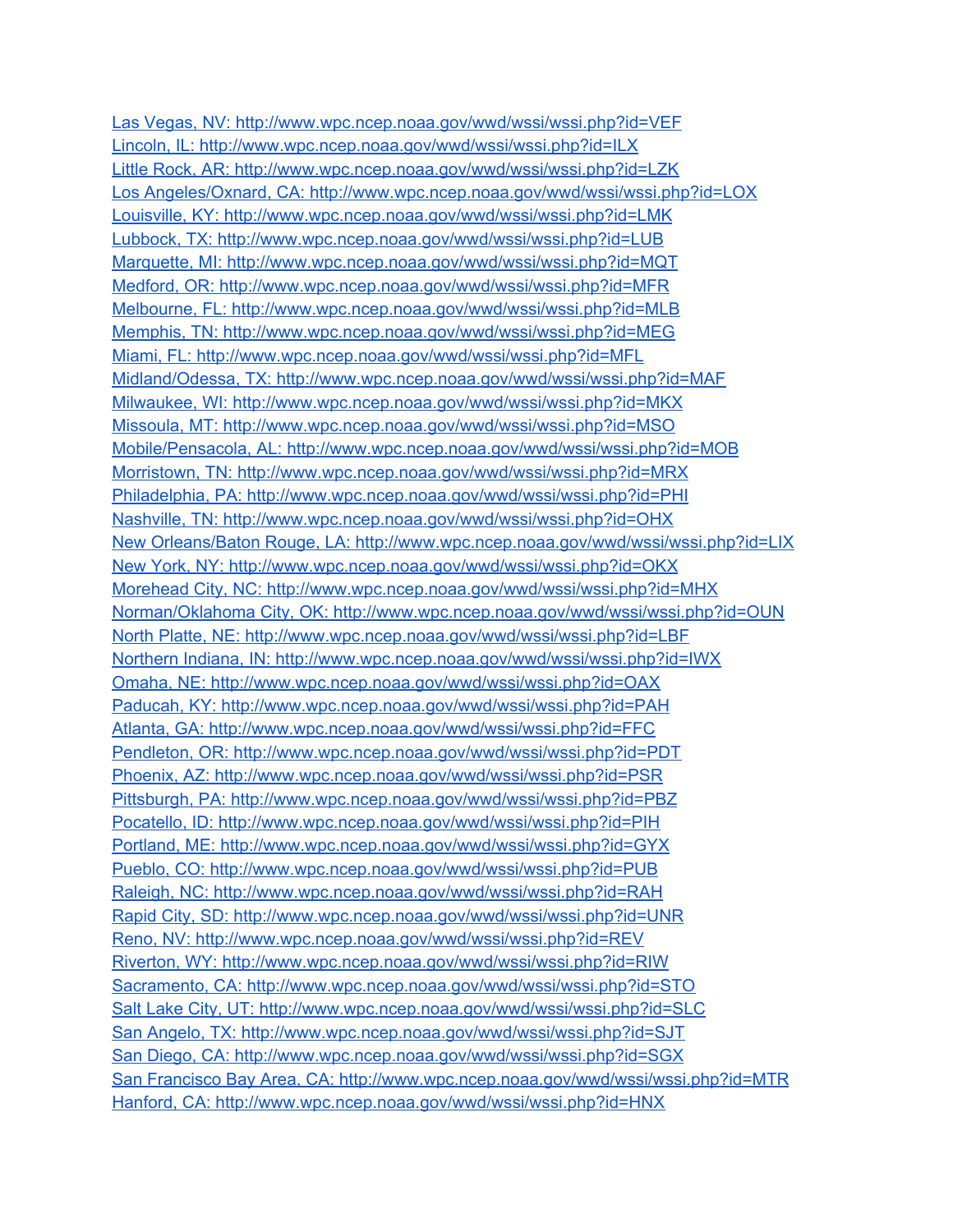Las Vegas, NV: <http://www.wpc.ncep.noaa.gov/wwd/wssi/wssi.php?id=VEF> Lincoln, IL: <http://www.wpc.ncep.noaa.gov/wwd/wssi/wssi.php?id=ILX> Little Rock, AR: <http://www.wpc.ncep.noaa.gov/wwd/wssi/wssi.php?id=LZK> Los Angeles/Oxnard, CA: <http://www.wpc.ncep.noaa.gov/wwd/wssi/wssi.php?id=LOX> Louisville, KY: <http://www.wpc.ncep.noaa.gov/wwd/wssi/wssi.php?id=LMK> Lubbock, TX: <http://www.wpc.ncep.noaa.gov/wwd/wssi/wssi.php?id=LUB> Marquette, MI: <http://www.wpc.ncep.noaa.gov/wwd/wssi/wssi.php?id=MQT> Medford, OR: <http://www.wpc.ncep.noaa.gov/wwd/wssi/wssi.php?id=MFR> Melbourne, FL: <http://www.wpc.ncep.noaa.gov/wwd/wssi/wssi.php?id=MLB> Memphis, TN: <http://www.wpc.ncep.noaa.gov/wwd/wssi/wssi.php?id=MEG> Miami, FL: <http://www.wpc.ncep.noaa.gov/wwd/wssi/wssi.php?id=MFL> Midland/Odessa, TX: <http://www.wpc.ncep.noaa.gov/wwd/wssi/wssi.php?id=MAF> Milwaukee, WI: <http://www.wpc.ncep.noaa.gov/wwd/wssi/wssi.php?id=MKX> Missoula, MT: <http://www.wpc.ncep.noaa.gov/wwd/wssi/wssi.php?id=MSO> Mobile/Pensacola, AL: <http://www.wpc.ncep.noaa.gov/wwd/wssi/wssi.php?id=MOB> Morristown, TN: <http://www.wpc.ncep.noaa.gov/wwd/wssi/wssi.php?id=MRX> Philadelphia, PA: <http://www.wpc.ncep.noaa.gov/wwd/wssi/wssi.php?id=PHI> Nashville, TN: <http://www.wpc.ncep.noaa.gov/wwd/wssi/wssi.php?id=OHX> New Orleans/Baton Rouge, LA: <http://www.wpc.ncep.noaa.gov/wwd/wssi/wssi.php?id=LIX> New York, NY: <http://www.wpc.ncep.noaa.gov/wwd/wssi/wssi.php?id=OKX> Morehead City, NC: <http://www.wpc.ncep.noaa.gov/wwd/wssi/wssi.php?id=MHX> Norman/Oklahoma City, OK: <http://www.wpc.ncep.noaa.gov/wwd/wssi/wssi.php?id=OUN> North Platte, NE: <http://www.wpc.ncep.noaa.gov/wwd/wssi/wssi.php?id=LBF> Northern Indiana, IN: <http://www.wpc.ncep.noaa.gov/wwd/wssi/wssi.php?id=IWX> Omaha, NE: <http://www.wpc.ncep.noaa.gov/wwd/wssi/wssi.php?id=OAX> Paducah, KY: <http://www.wpc.ncep.noaa.gov/wwd/wssi/wssi.php?id=PAH> Atlanta, GA: <http://www.wpc.ncep.noaa.gov/wwd/wssi/wssi.php?id=FFC> Pendleton, OR: <http://www.wpc.ncep.noaa.gov/wwd/wssi/wssi.php?id=PDT> Phoenix, AZ: <http://www.wpc.ncep.noaa.gov/wwd/wssi/wssi.php?id=PSR> Pittsburgh, PA: <http://www.wpc.ncep.noaa.gov/wwd/wssi/wssi.php?id=PBZ> Pocatello, ID: <http://www.wpc.ncep.noaa.gov/wwd/wssi/wssi.php?id=PIH> Portland, ME: <http://www.wpc.ncep.noaa.gov/wwd/wssi/wssi.php?id=GYX> Pueblo, CO: <http://www.wpc.ncep.noaa.gov/wwd/wssi/wssi.php?id=PUB> Raleigh, NC: <http://www.wpc.ncep.noaa.gov/wwd/wssi/wssi.php?id=RAH> Rapid City, SD: <http://www.wpc.ncep.noaa.gov/wwd/wssi/wssi.php?id=UNR> Reno, NV: <http://www.wpc.ncep.noaa.gov/wwd/wssi/wssi.php?id=REV> Riverton, WY: <http://www.wpc.ncep.noaa.gov/wwd/wssi/wssi.php?id=RIW> Sacramento, CA: <http://www.wpc.ncep.noaa.gov/wwd/wssi/wssi.php?id=STO> Salt Lake City, UT: <http://www.wpc.ncep.noaa.gov/wwd/wssi/wssi.php?id=SLC> San Angelo, TX: <http://www.wpc.ncep.noaa.gov/wwd/wssi/wssi.php?id=SJT> San Diego, CA: <http://www.wpc.ncep.noaa.gov/wwd/wssi/wssi.php?id=SGX> San Francisco Bay Area, CA: <http://www.wpc.ncep.noaa.gov/wwd/wssi/wssi.php?id=MTR> Hanford, CA: <http://www.wpc.ncep.noaa.gov/wwd/wssi/wssi.php?id=HNX>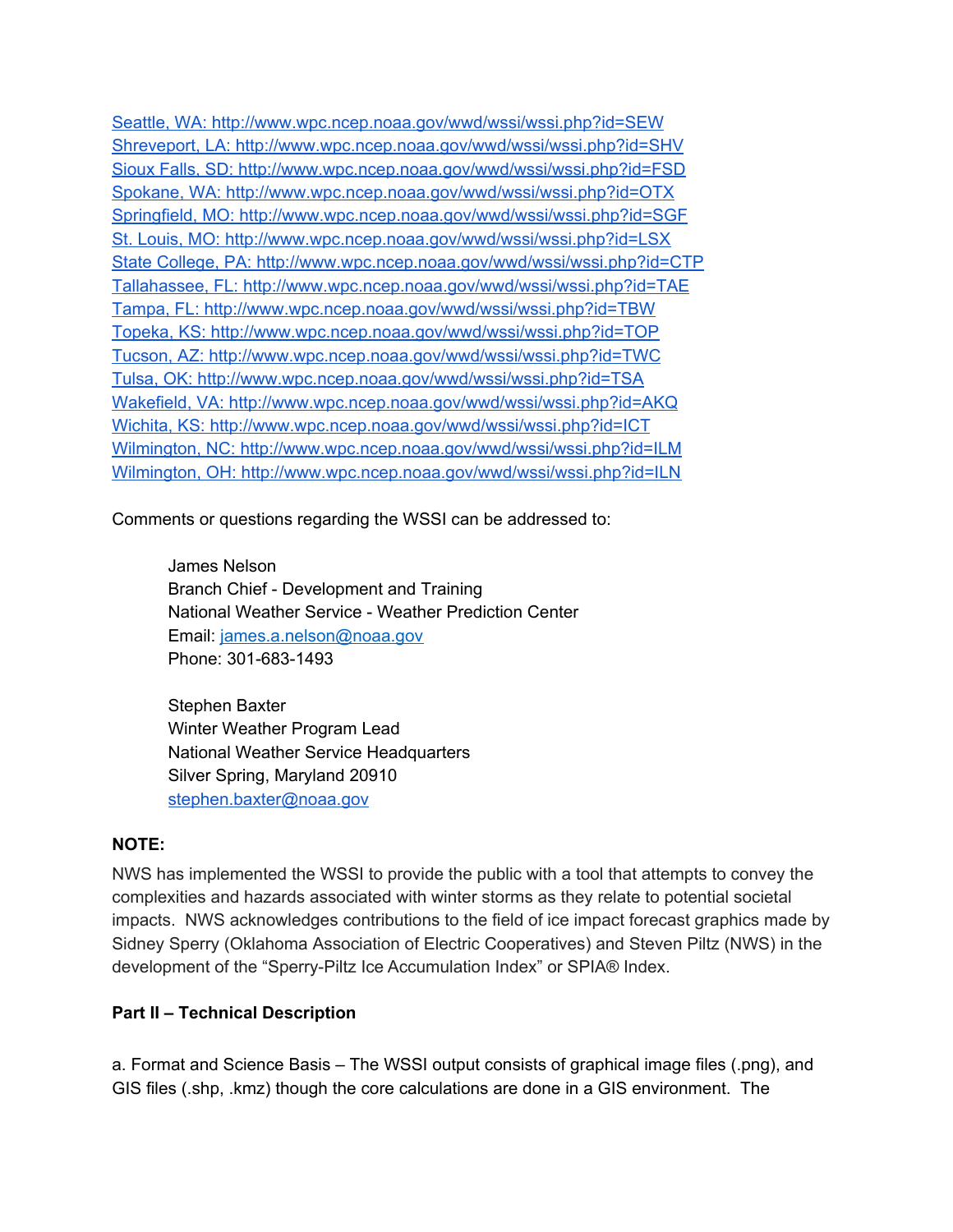Seattle, WA: <http://www.wpc.ncep.noaa.gov/wwd/wssi/wssi.php?id=SEW> Shreveport, LA: <http://www.wpc.ncep.noaa.gov/wwd/wssi/wssi.php?id=SHV> Sioux Falls, SD: <http://www.wpc.ncep.noaa.gov/wwd/wssi/wssi.php?id=FSD> Spokane, WA: <http://www.wpc.ncep.noaa.gov/wwd/wssi/wssi.php?id=OTX> Springfield, MO: <http://www.wpc.ncep.noaa.gov/wwd/wssi/wssi.php?id=SGF> St. Louis, MO: <http://www.wpc.ncep.noaa.gov/wwd/wssi/wssi.php?id=LSX> State College, PA: <http://www.wpc.ncep.noaa.gov/wwd/wssi/wssi.php?id=CTP> Tallahassee, FL: <http://www.wpc.ncep.noaa.gov/wwd/wssi/wssi.php?id=TAE> Tampa, FL: <http://www.wpc.ncep.noaa.gov/wwd/wssi/wssi.php?id=TBW> Topeka, KS: <http://www.wpc.ncep.noaa.gov/wwd/wssi/wssi.php?id=TOP> Tucson, AZ: <http://www.wpc.ncep.noaa.gov/wwd/wssi/wssi.php?id=TWC> Tulsa, OK: <http://www.wpc.ncep.noaa.gov/wwd/wssi/wssi.php?id=TSA> Wakefield, VA: <http://www.wpc.ncep.noaa.gov/wwd/wssi/wssi.php?id=AKQ> Wichita, KS: <http://www.wpc.ncep.noaa.gov/wwd/wssi/wssi.php?id=ICT> Wilmington, NC: <http://www.wpc.ncep.noaa.gov/wwd/wssi/wssi.php?id=ILM> Wilmington, OH: <http://www.wpc.ncep.noaa.gov/wwd/wssi/wssi.php?id=ILN>

Comments or questions regarding the WSSI can be addressed to:

James Nelson Branch Chief - Development and Training National Weather Service - Weather Prediction Center Email: [james.a.nelson@noaa.gov](mailto:james.a.nelson@noaa.gov) Phone: 301-683-1493

Stephen Baxter Winter Weather Program Lead National Weather Service Headquarters Silver Spring, Maryland 20910 [stephen.baxter@noaa.gov](mailto:Stephen.Baxter@noaa.gov)

## **NOTE:**

NWS has implemented the WSSI to provide the public with a tool that attempts to convey the complexities and hazards associated with winter storms as they relate to potential societal impacts. NWS acknowledges contributions to the field of ice impact forecast graphics made by Sidney Sperry (Oklahoma Association of Electric Cooperatives) and Steven Piltz (NWS) in the development of the "Sperry-Piltz Ice Accumulation Index" or SPIA® Index.

## **Part II – Technical Description**

a. Format and Science Basis – The WSSI output consists of graphical image files (.png), and GIS files (.shp, .kmz) though the core calculations are done in a GIS environment. The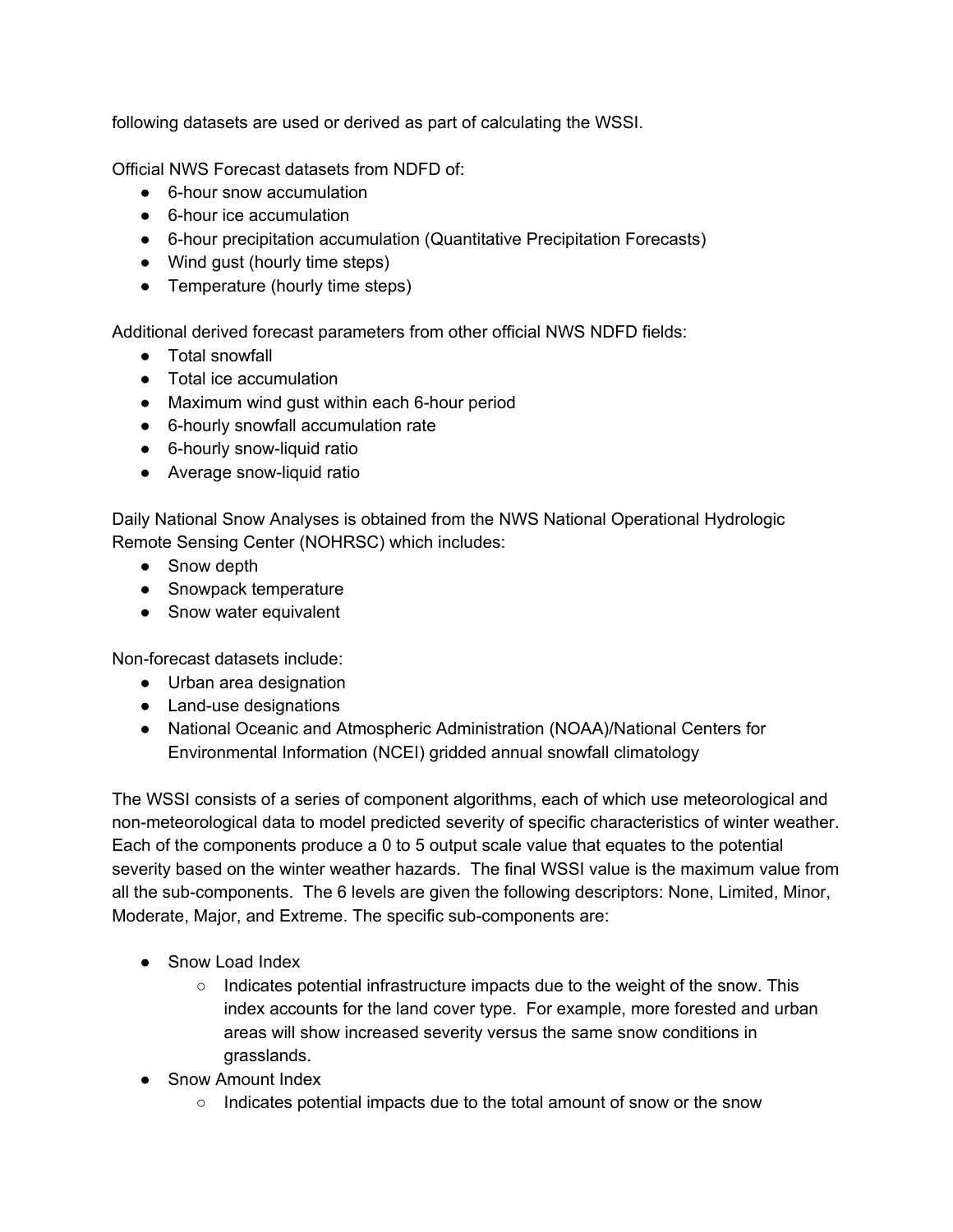following datasets are used or derived as part of calculating the WSSI.

Official NWS Forecast datasets from NDFD of:

- 6-hour snow accumulation
- 6-hour ice accumulation
- 6-hour precipitation accumulation (Quantitative Precipitation Forecasts)
- Wind gust (hourly time steps)
- Temperature (hourly time steps)

Additional derived forecast parameters from other official NWS NDFD fields:

- Total snowfall
- Total ice accumulation
- Maximum wind gust within each 6-hour period
- 6-hourly snowfall accumulation rate
- 6-hourly snow-liquid ratio
- Average snow-liquid ratio

Daily National Snow Analyses is obtained from the NWS National Operational Hydrologic Remote Sensing Center (NOHRSC) which includes:

- Snow depth
- Snowpack temperature
- Snow water equivalent

Non-forecast datasets include:

- Urban area designation
- Land-use designations
- National Oceanic and Atmospheric Administration (NOAA)/National Centers for Environmental Information (NCEI) gridded annual snowfall climatology

The WSSI consists of a series of component algorithms, each of which use meteorological and non-meteorological data to model predicted severity of specific characteristics of winter weather. Each of the components produce a 0 to 5 output scale value that equates to the potential severity based on the winter weather hazards. The final WSSI value is the maximum value from all the sub-components. The 6 levels are given the following descriptors: None, Limited, Minor, Moderate, Major, and Extreme. The specific sub-components are:

- Snow Load Index
	- $\circ$  Indicates potential infrastructure impacts due to the weight of the snow. This index accounts for the land cover type. For example, more forested and urban areas will show increased severity versus the same snow conditions in grasslands.
- Snow Amount Index
	- Indicates potential impacts due to the total amount of snow or the snow